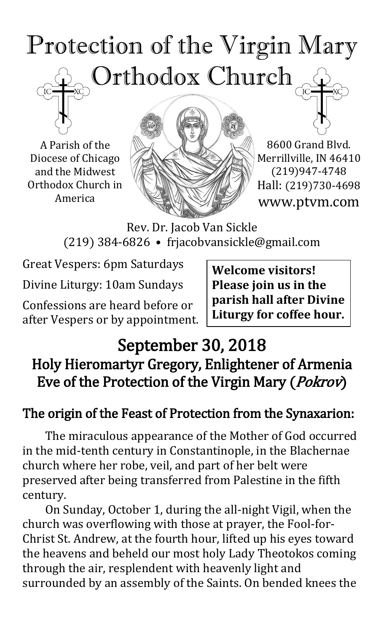# Protection of the Virgin Mary Orthodox Church

A Parish of the Diocese of Chicago and the Midwest Orthodox Church in America



8600 Grand Blvd. Merrillville, IN 46410 (219)947-4748 Hall: (219)730-4698 www.ptvm.com

Rev. Dr. Jacob Van Sickle (219) 384-6826 • frjacobvansickle@gmail.com

Great Vespers: 6pm Saturdays Divine Liturgy: 10am Sundays

Confessions are heard before or after Vespers or by appointment. **Welcome visitors! Please join us in the parish hall after Divine Liturgy for coffee hour.**

## September 30, 2018 Holy Hieromartyr Gregory, Enlightener of Armenia Eve of the Protection of the Virgin Mary (Pokrov)

## The origin of the Feast of Protection from the Synaxarion:

The miraculous appearance of the Mother of God occurred in the mid-tenth century in Constantinople, in the Blachernae church where her robe, veil, and part of her belt were preserved after being transferred from Palestine in the fifth century.

On Sunday, October 1, during the all-night Vigil, when the church was overflowing with those at prayer, the Fool-for-Christ St. Andrew, at the fourth hour, lifted up his eyes toward the heavens and beheld our most holy Lady Theotokos coming through the air, resplendent with heavenly light and surrounded by an assembly of the Saints. On bended knees the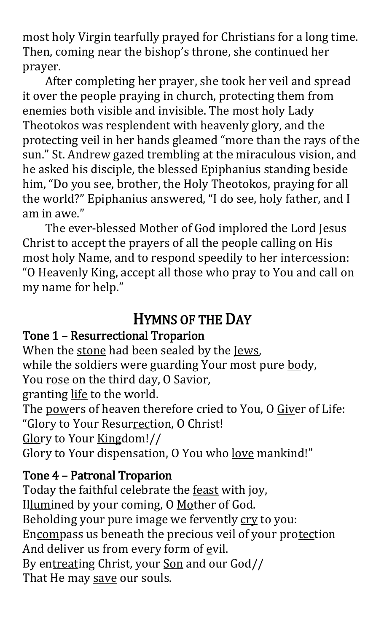most holy Virgin tearfully prayed for Christians for a long time. Then, coming near the bishop's throne, she continued her prayer.

After completing her prayer, she took her veil and spread it over the people praying in church, protecting them from enemies both visible and invisible. The most holy Lady Theotokos was resplendent with heavenly glory, and the protecting veil in her hands gleamed "more than the rays of the sun." St. Andrew gazed trembling at the miraculous vision, and he asked his disciple, the blessed Epiphanius standing beside him, "Do you see, brother, the Holy Theotokos, praying for all the world?" Epiphanius answered, "I do see, holy father, and I am in awe."

The ever-blessed Mother of God implored the Lord Jesus Christ to accept the prayers of all the people calling on His most holy Name, and to respond speedily to her intercession: "O Heavenly King, accept all those who pray to You and call on my name for help."

## HYMNS OF THE DAY

#### Tone 1 – Resurrectional Troparion

When the stone had been sealed by the Jews, while the soldiers were guarding Your most pure body, You rose on the third day, O Savior, granting life to the world.

The powers of heaven therefore cried to You, O Giver of Life: "Glory to Your Resurrection, O Christ!

Glory to Your Kingdom!//

Glory to Your dispensation, O You who <u>love</u> mankind!"

### Tone 4 – Patronal Troparion

Today the faithful celebrate the feast with joy, Illumined by your coming, O Mother of God. Beholding your pure image we fervently cry to you: Encompass us beneath the precious veil of your protection And deliver us from every form of evil. By entreating Christ, your Son and our God// That He may save our souls.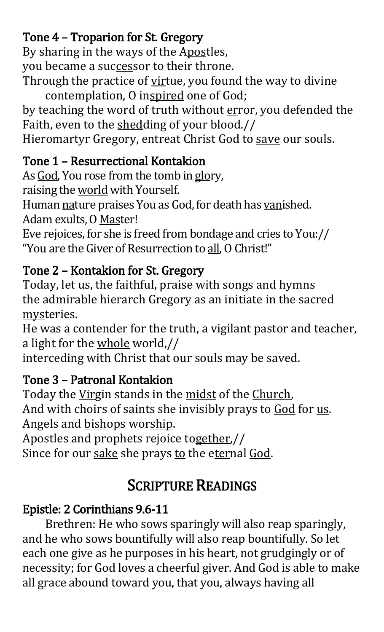## Tone 4 – Troparion for St. Gregory

By sharing in the ways of the Apostles, you became a successor to their throne.

Through the practice of virtue, you found the way to divine contemplation, O inspired one of God;

by teaching the word of truth without error, you defended the Faith, even to the shedding of your blood.//

Hieromartyr Gregory, entreat Christ God to save our souls.

### Tone 1 – Resurrectional Kontakion

As God, You rose from the tomb in glory,

raising the world with Yourself.

Human nature praises You as God, for death has vanished. Adam exults, O Master!

Eve rejoices, for she is freed from bondage and cries to You:// "You are the Giver of Resurrection to all, O Christ!"

## Tone 2 – Kontakion for St. Gregory

Today, let us, the faithful, praise with songs and hymns the admirable hierarch Gregory as an initiate in the sacred mysteries.

He was a contender for the truth, a vigilant pastor and teacher, a light for the whole world,//

interceding with Christ that our souls may be saved.

## Tone 3 – Patronal Kontakion

Today the Virgin stands in the midst of the Church, And with choirs of saints she invisibly prays to God for us. Angels and bishops worship.

Apostles and prophets rejoice together,//

Since for our sake she prays to the eternal God.

## SCRIPTURE READINGS

## Epistle: 2 Corinthians 9.6-11

Brethren: He who sows sparingly will also reap sparingly, and he who sows bountifully will also reap bountifully. So let each one give as he purposes in his heart, not grudgingly or of necessity; for God loves a cheerful giver. And God is able to make all grace abound toward you, that you, always having all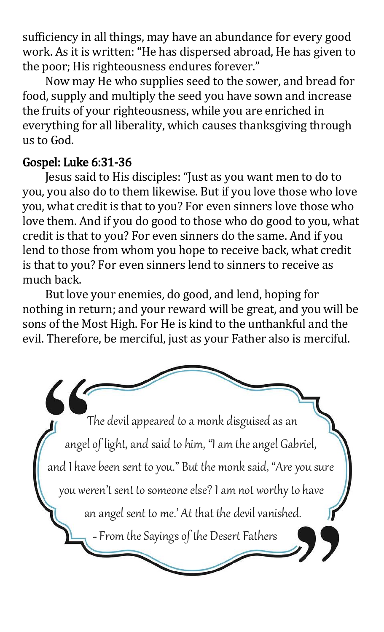sufficiency in all things, may have an abundance for every good work. As it is written: "He has dispersed abroad, He has given to the poor; His righteousness endures forever."

Now may He who supplies seed to the sower, and bread for food, supply and multiply the seed you have sown and increase the fruits of your righteousness, while you are enriched in everything for all liberality, which causes thanksgiving through us to God.

#### Gospel: Luke 6:31-36

Jesus said to His disciples: "Just as you want men to do to you, you also do to them likewise. But if you love those who love you, what credit is that to you? For even sinners love those who love them. And if you do good to those who do good to you, what credit is that to you? For even sinners do the same. And if you lend to those from whom you hope to receive back, what credit is that to you? For even sinners lend to sinners to receive as much back.

 But love your enemies, do good, and lend, hoping for nothing in return; and your reward will be great, and you will be sons of the Most High. For He is kind to the unthankful and the evil. Therefore, be merciful, just as your Father also is merciful.

The devil appeared to a monk disguised as an angel of light, and said to him, "I am the angel Gabriel, and I have been sent to you." But the monk said, "Are you sure you weren't sent to someone else? I am not worthy to have an angel sent to me.' At that the devil vanished. -From the Sayings of the Desert Fathers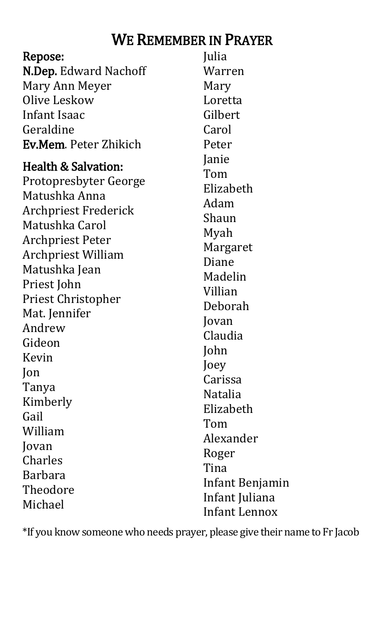## WE REMEMBER IN PRAYER

| Repose:                                                                                                                                                                                                                                                                                                                                   | Julia                                                                                                                                                                                                      |
|-------------------------------------------------------------------------------------------------------------------------------------------------------------------------------------------------------------------------------------------------------------------------------------------------------------------------------------------|------------------------------------------------------------------------------------------------------------------------------------------------------------------------------------------------------------|
| <b>N.Dep.</b> Edward Nachoff                                                                                                                                                                                                                                                                                                              | Warren                                                                                                                                                                                                     |
| Mary Ann Meyer                                                                                                                                                                                                                                                                                                                            | Mary                                                                                                                                                                                                       |
| Olive Leskow                                                                                                                                                                                                                                                                                                                              | Loretta                                                                                                                                                                                                    |
| Infant Isaac                                                                                                                                                                                                                                                                                                                              | Gilbert                                                                                                                                                                                                    |
| Geraldine                                                                                                                                                                                                                                                                                                                                 | Carol                                                                                                                                                                                                      |
| <b>Ev.Mem.</b> Peter Zhikich                                                                                                                                                                                                                                                                                                              | Peter                                                                                                                                                                                                      |
| Health & Salvation:<br>Protopresbyter George<br>Matushka Anna<br><b>Archpriest Frederick</b><br>Matushka Carol<br><b>Archpriest Peter</b><br><b>Archpriest William</b><br>Matushka Jean<br>Priest John<br><b>Priest Christopher</b><br>Mat. Jennifer<br>Andrew<br>Gideon<br>Kevin<br>Jon<br>Tanya<br>Kimberly<br>Gail<br>William<br>Jovan | Janie<br>Tom<br>Elizabeth<br>Adam<br>Shaun<br>Myah<br>Margaret<br>Diane<br>Madelin<br>Villian<br>Deborah<br>Jovan<br>Claudia<br>John<br>Joey<br>Carissa<br><b>Natalia</b><br>Elizabeth<br>Tom<br>Alexander |
| Charles                                                                                                                                                                                                                                                                                                                                   | Roger                                                                                                                                                                                                      |
| <b>Barbara</b>                                                                                                                                                                                                                                                                                                                            | Tina                                                                                                                                                                                                       |
| Theodore                                                                                                                                                                                                                                                                                                                                  | Infant Benjamin                                                                                                                                                                                            |
| Michael                                                                                                                                                                                                                                                                                                                                   | Infant Juliana                                                                                                                                                                                             |
|                                                                                                                                                                                                                                                                                                                                           | <b>Infant Lennox</b>                                                                                                                                                                                       |

\*If you know someone who needs prayer, please give their name to Fr Jacob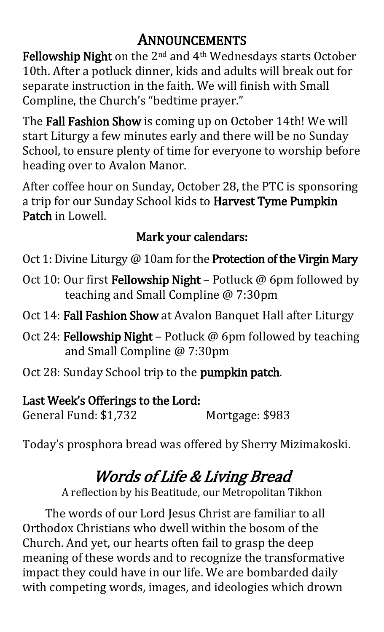## ANNOUNCEMENTS

Fellowship Night on the 2<sup>nd</sup> and 4<sup>th</sup> Wednesdays starts October 10th. After a potluck dinner, kids and adults will break out for separate instruction in the faith. We will finish with Small Compline, the Church's "bedtime prayer."

The Fall Fashion Show is coming up on October 14th! We will start Liturgy a few minutes early and there will be no Sunday School, to ensure plenty of time for everyone to worship before heading over to Avalon Manor.

After coffee hour on Sunday, October 28, the PTC is sponsoring a trip for our Sunday School kids to Harvest Tyme Pumpkin Patch in Lowell.

## Mark your calendars:

Oct 1: Divine Liturgy @ 10am for the Protection of the Virgin Mary

- Oct 10: Our first Fellowship Night Potluck @ 6pm followed by teaching and Small Compline @ 7:30pm
- Oct 14: Fall Fashion Show at Avalon Banquet Hall after Liturgy
- Oct 24: Fellowship Night Potluck @ 6pm followed by teaching and Small Compline @ 7:30pm
- Oct 28: Sunday School trip to the pumpkin patch.

### Last Week's Offerings to the Lord:

General Fund: \$1,732 Mortgage: \$983

Today's prosphora bread was offered by Sherry Mizimakoski.

## Words of Life & Living Bread

A reflection by his Beatitude, our Metropolitan Tikhon

The words of our Lord Jesus Christ are familiar to all Orthodox Christians who dwell within the bosom of the Church. And yet, our hearts often fail to grasp the deep meaning of these words and to recognize the transformative impact they could have in our life. We are bombarded daily with competing words, images, and ideologies which drown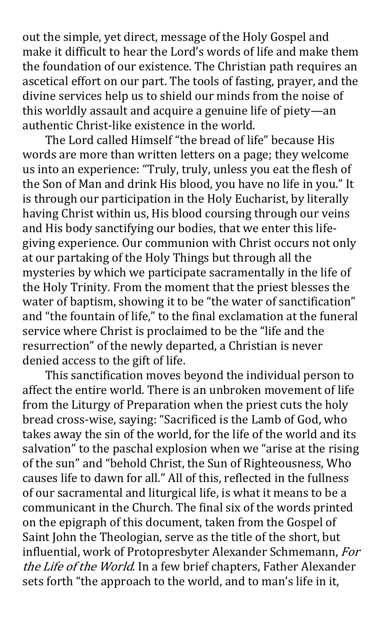out the simple, yet direct, message of the Holy Gospel and make it difficult to hear the Lord's words of life and make them the foundation of our existence. The Christian path requires an ascetical effort on our part. The tools of fasting, prayer, and the divine services help us to shield our minds from the noise of this worldly assault and acquire a genuine life of piety—an authentic Christ-like existence in the world.

The Lord called Himself "the bread of life" because His words are more than written letters on a page; they welcome us into an experience: "Truly, truly, unless you eat the flesh of the Son of Man and drink His blood, you have no life in you." It is through our participation in the Holy Eucharist, by literally having Christ within us, His blood coursing through our veins and His body sanctifying our bodies, that we enter this lifegiving experience. Our communion with Christ occurs not only at our partaking of the Holy Things but through all the mysteries by which we participate sacramentally in the life of the Holy Trinity. From the moment that the priest blesses the water of baptism, showing it to be "the water of sanctification" and "the fountain of life," to the final exclamation at the funeral service where Christ is proclaimed to be the "life and the resurrection" of the newly departed, a Christian is never denied access to the gift of life.

This sanctification moves beyond the individual person to affect the entire world. There is an unbroken movement of life from the Liturgy of Preparation when the priest cuts the holy bread cross-wise, saying: "Sacrificed is the Lamb of God, who takes away the sin of the world, for the life of the world and its salvation" to the paschal explosion when we "arise at the rising of the sun" and "behold Christ, the Sun of Righteousness, Who causes life to dawn for all." All of this, reflected in the fullness of our sacramental and liturgical life, is what it means to be a communicant in the Church. The final six of the words printed on the epigraph of this document, taken from the Gospel of Saint John the Theologian, serve as the title of the short, but influential, work of Protopresbyter Alexander Schmemann, For the Life of the World. In a few brief chapters, Father Alexander sets forth "the approach to the world, and to man's life in it,